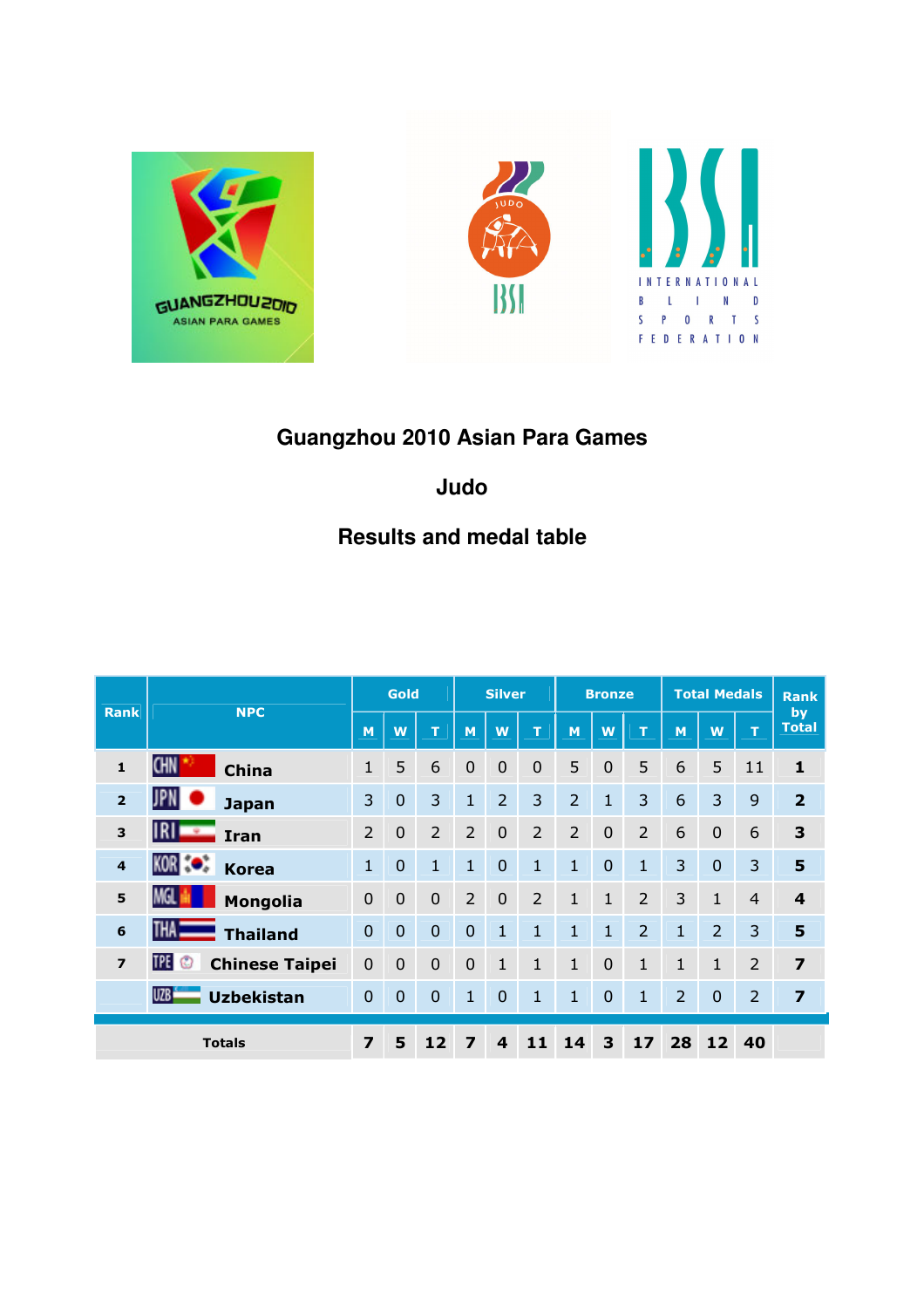



# **Guangzhou 2010 Asian Para Games**

## **Judo**

# **Results and medal table**

|                | <b>NPC</b>                            | Gold                    |                | <b>Silver</b>  |                | <b>Bronze</b>    |                | <b>Total Medals</b> |                |                | <b>Rank</b>  |                 |                |                    |
|----------------|---------------------------------------|-------------------------|----------------|----------------|----------------|------------------|----------------|---------------------|----------------|----------------|--------------|-----------------|----------------|--------------------|
| <b>Rank</b>    |                                       |                         | W              | т              | M              | W                | T              | M                   | W              | т              | M            | W               | T              | by<br><b>Total</b> |
| $\mathbf{1}$   | <b>CHN</b><br><b>China</b>            | 1                       | 5              | 6              | $\mathbf 0$    | $\mathbf 0$      | $\mathbf 0$    | 5                   | $\overline{0}$ | 5              | 6            | 5               | 11             | $\mathbf{1}$       |
| $\overline{2}$ | JPN<br><b>Japan</b>                   | 3                       | $\mathbf 0$    | 3              | $\mathbf{1}$   | 2                | 3              | $\overline{2}$      | $\mathbf{1}$   | 3              | 6            | 3               | 9              | $\overline{2}$     |
| 3              | IRI<br>÷<br><b>Iran</b>               | $\overline{2}$          | $\overline{0}$ | $\overline{2}$ | $\overline{2}$ | $\overline{0}$   | $\overline{2}$ | $\overline{2}$      | $\overline{0}$ | $\overline{2}$ | 6            | $\overline{0}$  | 6              | 3                  |
| $\overline{4}$ | KOR 30<br><b>Korea</b>                | $\mathbf{1}$            | $\overline{0}$ | $\mathbf{1}$   | $\mathbf{1}$   | $\overline{0}$   | $\mathbf{1}$   | $\mathbf{1}$        | $\overline{0}$ | $\mathbf{1}$   | 3            | $\overline{0}$  | 3              | 5                  |
| 5              | MGL<br>Mongolia                       | $\overline{0}$          | $\overline{0}$ | $\overline{0}$ | $\overline{2}$ | $\overline{0}$   | $\overline{2}$ | $\mathbf{1}$        | $\mathbf{1}$   | $\overline{2}$ | 3            | $\mathbf{1}$    | $\overline{4}$ | 4                  |
| 6              | THA <sub>I</sub><br><b>Thailand</b>   | $\overline{0}$          | $\overline{0}$ | $\mathbf 0$    | $\mathbf 0$    | $\mathbf{1}$     | $\mathbf{1}$   | $\mathbf{1}$        | $\mathbf{1}$   | $\overline{2}$ | $\mathbf{1}$ | $\overline{2}$  | 3              | 5                  |
| $\overline{z}$ | TPE ©<br><b>Chinese Taipei</b>        | $\overline{0}$          | $\overline{0}$ | $\overline{0}$ | $\mathbf 0$    | $\mathbf{1}$     | $\mathbf{1}$   | $\mathbf{1}$        | $\overline{0}$ | 1              | 1            | 1               | 2              | $\overline{z}$     |
|                | UZB <sup>1</sup><br><b>Uzbekistan</b> | $\overline{0}$          | $\Omega$       | $\overline{0}$ | 1              | $\overline{0}$   | 1              | $\mathbf{1}$        | $\mathbf 0$    | 1              | 2            | $\mathbf{0}$    | $\overline{2}$ | $\overline{z}$     |
|                | <b>Totals</b>                         | $\overline{\mathbf{z}}$ | 5              | 12             | 7              | $\boldsymbol{4}$ | 11             | 14                  | 3              | 17             | 28           | 12 <sub>2</sub> | 40             |                    |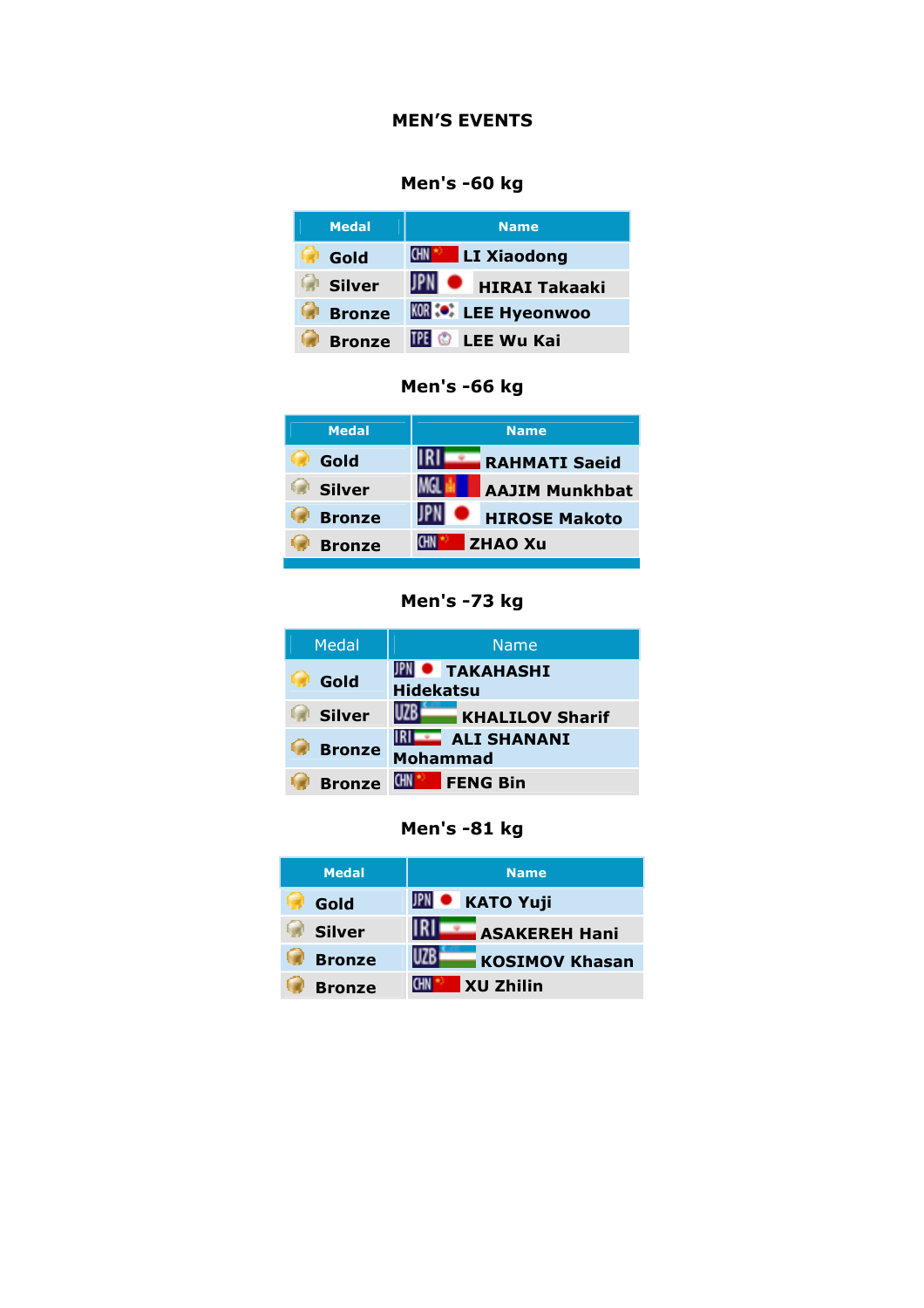#### MEN'S EVENTS

## Men's -60 kg

| <b>Medal</b>  | <b>Name</b>               |
|---------------|---------------------------|
| Gold          | LI Xiaodong<br><b>CHN</b> |
| <b>Silver</b> | <b>HIRAI Takaaki</b>      |
| <b>Bronze</b> | <b>KOR : EE Hyeonwoo</b>  |
| <b>Bronze</b> | <b>IPE © LEE Wu Kai</b>   |



| <b>Medal</b>  | <b>Name</b>           |
|---------------|-----------------------|
| Gold          | <b>RAHMATI Saeid</b>  |
| <b>Silver</b> | <b>AAJIM Munkhbat</b> |
| <b>Bronze</b> | <b>HIROSE Makoto</b>  |
| <b>Bronze</b> | <b>ZHAO Xu</b>        |



| <b>Medal</b>  | <b>Name</b>                                 |
|---------------|---------------------------------------------|
| Gold          | <b>• TAKAHASHI</b><br><b>Hidekatsu</b>      |
| <b>Silver</b> | <b>KHALILOV Sharif</b>                      |
| <b>Bronze</b> | <b>IRILE ALI SHANANI</b><br><b>Mohammad</b> |
| <b>Bronze</b> | <b>FENG Bin</b>                             |

| Men's -81 kg |  |  |
|--------------|--|--|
|--------------|--|--|

| <b>Medal</b>  | <b>Name</b>            |
|---------------|------------------------|
| Gold          | <b>JPN</b> • KATO Yuji |
| <b>Silver</b> | <b>ASAKEREH Hani</b>   |
| <b>Bronze</b> | <b>KOSIMOV Khasan</b>  |
| <b>Bronze</b> | <b>XU Zhilin</b>       |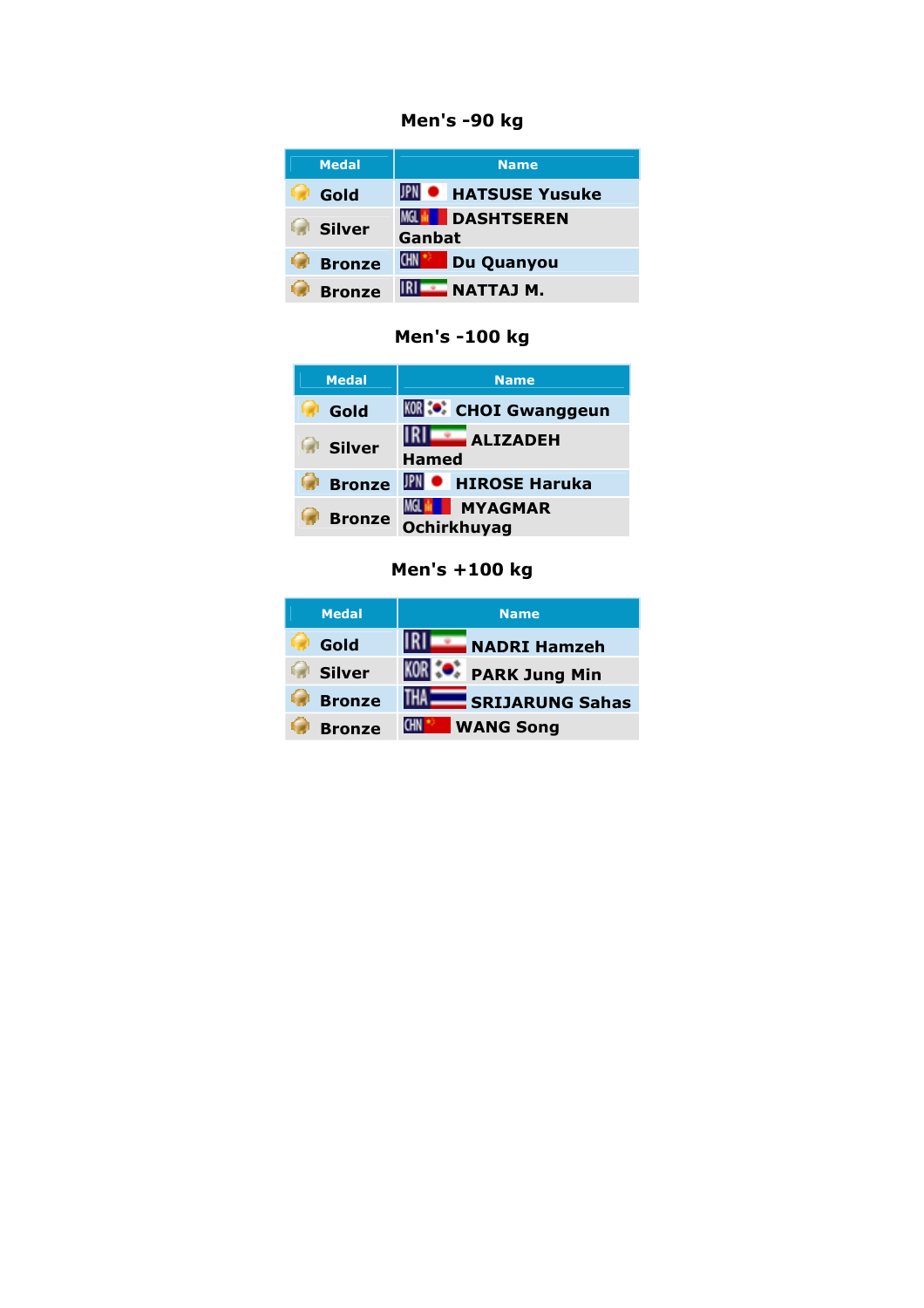Men's -90 kg

| <b>Medal</b>  | <b>Name</b>                                  |
|---------------|----------------------------------------------|
| Gold          | <b>IPN • HATSUSE Yusuke</b>                  |
| <b>Silver</b> | <b>MGL HI</b><br><b>DASHTSEREN</b><br>Ganbat |
| <b>Bronze</b> | Du Quanyou<br><b>CHN</b>                     |
| <b>Bronze</b> | NATTAJ M.                                    |

Men's -100 kg

| <b>Medal</b>  | <b>Name</b>                             |
|---------------|-----------------------------------------|
| Gold          | <b>KOR</b> <sup>:</sup> CHOI Gwanggeun  |
| <b>Silver</b> | <b>ALIZADEH</b><br><b>Hamed</b>         |
| <b>Bronze</b> | <b>IPN • HIROSE Haruka</b>              |
| <b>Bronze</b> | MGL BI<br><b>MYAGMAR</b><br>Ochirkhuyag |

### Men's +100 kg

| <b>Medal</b>  | <b>Name</b>                |
|---------------|----------------------------|
| Gold          | <b>NADRI Hamzeh</b>        |
| <b>Silver</b> | <b>KOR</b> : PARK Jung Min |
| <b>Bronze</b> | <b>SRIJARUNG Sahas</b>     |
| <b>Bronze</b> | <b>WANG Song</b><br>CHN.   |